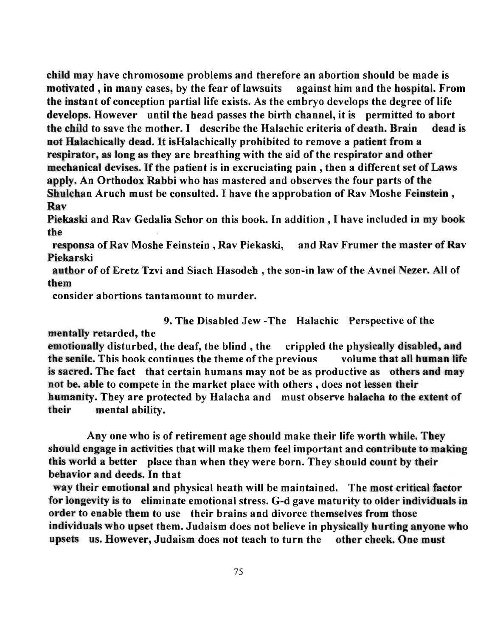child may have chromosome problems and therefore an abortion should be made is motivated ,in many cases, by the fear of lawsuits against him and the hospital. From the instant of conception partial life exists. As the embryo develops the degree of life develops. However until the head passes the birth channel, it is permitted to abort the child to save the mother. I describe the Halachic criteria of death. Brain dead is not Halachically dead. It is Halachically prohibited to remove a patient from a respirator, as long as they are breathing with the aid of the respirator and other mechanical devises. If the patient is in excruciating pain, then a different set of Laws apply. An Orthodox Rabbi who has mastered and observes the four parts of the Shulchan Aruch must be consulted. 1 have the approbation of Rav Moshe Feinstein, Rav

Piekaski and RavGedalia Schor on this book. In addition, I have included in my book the

responsa of Rav Moshe Feinstein, Rav Piekaski, and Rav Frumer the master of Rav Piekarski

author of of Eretz Tzvi and Siach Hasodeh, the son-in law of the Avnei Nezer. All of them

consider abortions tantamount to murder.

9. The Disabled Jew -The Halacbic Perspective of the

mentally retarded, the

emotionally disturbed, the deaf, the blind, the crippled the physically disabled, and the senile. This book continues the theme of the previous volume that all human life is sacred. The fact that certain humans may not be as productive as others and may not be. able to compete in the market place with others, does not lessen their humanity. They are protected by Halacba and must observe halacha to the extent of their mental ability.

Anyone who is of retirement age should make their life worth while. They should engage in activities that will make them feel important and contribute to making this world a better place than when they were born. They should count by their behavior and deeds. In that

way their emotional and physical heath will be maintained. The most critical factor for longevity is to eliminate emotional stress. G-d gave maturity to older individuals in order to enable them to use their brains and divorce themselves from those individuals who upset them. Judaism does not believe in physically hurting anyone who upsets us. However, Judaism does not teach to turn the other cheek. One must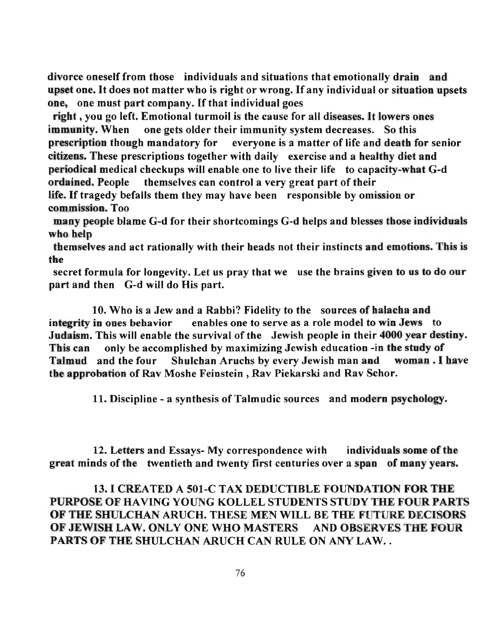divorce oneself from those individuals and situations that emotionally drain and upset one. It does not matter who is right or wrong. If any individual or situation upsets one, one must part company. If that individual goes

right, you go left. Emotional turmoil is the cause for all diseases. It lowers ones immunity. When one gets older their immunity system decreases. So this prescription though mandatory for everyone is a matter of life and death for senior citizens. These prescriptions together with daily exercise and a healthy diet and periodical medical checkups will enable one to live their life to capacity-what G-d ordained. People themselves can control a very great part of their life. If tragedy befalls them they may have been responsible by omission or commission. Too

many people blame G-d for tbeir shortcomings G-d helps and blesses those individuals who help

themselves and act rationally with their heads not their instincts and emotions. This is the

secret formula for longevity. Let us pray that we use the brains given to us to do our part and then G-d will do His part.

10. Who is a Jew and a Rabbi? Fidelity to the sources of halacha and integrity in ones behavior enables one to serve as a role model to win Jews to Judaism. This will enable the survival of the Jewish people in their 4000 year destiny. This can only be accomplished by maximizing Jewish education -in the study of Talmud and the four Shulchan Aruchs by every Jewish man and woman. I have the approbation of Rav Moshe Feinstein, Rav Piekarski and Rav Schor.

11. Discipline - a synthesis of Talmudic sources and modern psychology ..

12. Letters and Essays- My correspondence with individuals some of the great minds of the twentieth and twenty first centuries over a span of many years.

## 13. I CREATED A 501-C TAX DEDUCTIBLE FOUNDATION FOR THE PURPOSE OF HAVING YOUNG KOLLEL STUDENTS STUDY THE FOUR PARTS OF THE SHULCHAN ARUCH. THESE MEN WILL BE THE FUTURE DECISORS OF JEWISH LAW. ONLY ONE WHO MASTERS AND OBSERVES THE FOUR PARTS OF THE SHULCHAN ARUCH CAN RULE ON ANY LAW..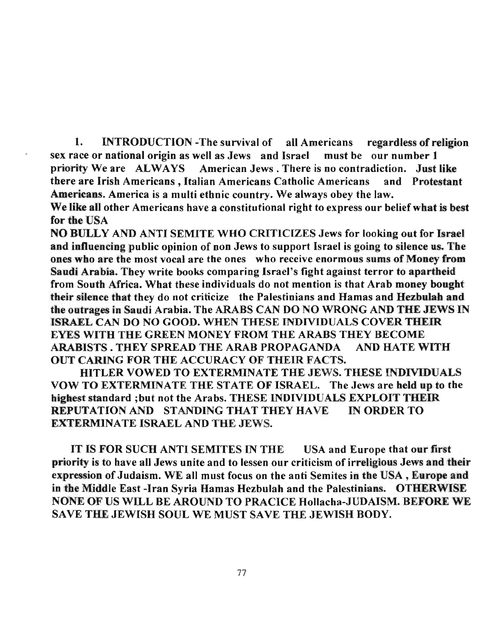1. INTRODUCTION -The survival of all Americans regardless of religion sex race or national origin as well as Jews and Israel must be our number 1 priority We are ALWAYS American Jews. There is no contradiction. Just like there are Irish Americans, Italian Americans Catholic Americans and Protestant Americans. America is a multi ethnic country. We always obey the law.

We like all other Americans have a constitutional right to express our belief what is best for the USA

NO BULLY AND ANTI SEMITE WHO CRITICIZES Jews for looking out for Israel and influencing public opinion of non Jews to support Israel is going to silence us. The ones who are the most vocal are the ones who receive enormous sums of Money from Saudi Arabia. They write books comparing Israel's fight against terror to apartheid from South Africa. What these individuals do not mention is that Arab money bought their silence that they do not criticize the Palestinians and Hamas and Hezbulah and the outrages in Saudi Arabia. The ARABS CAN DO NO WRONG AND THE JEWS IN ISRAEL CAN DO NO GOOD. WHEN THESE INDIVIDUALS COVER THEIR EYES WITH THE GREEN MONEY FROM THE ARABS THEY BECOME ARABISTS . THEY SPREAD THE ARAB PROPAGANDA AND BATE WITH OUT CARING FOR THE ACCURACY OF THEIR FACTS.

mTLER VOWED TO EXTERMINATE THE JEWS. THESE INDIVIDUALS VOW TO EXTERMINATE THE STATE OF ISRAEL. The Jews are held up to the highest standard ;but not the Arabs. THESE INDIVIDUALS EXPLOIT THEIR REPUTATIONAND STANDINGTHATTHEYHAVE INORDERTO EXTERMINATE ISRAEL AND THE JEWS.

IT IS FOR SUCH ANTI SEMITES IN THE USA and Europe that our first priority is to have all Jews unite and to lessen our criticism of irreligious Jews and their expression of Judaism. WE all must focus on the anti Semites in the USA, Europe and in the Middle East -Iran Syria Hamas Hezbulah and the Palestinians. OTHERWISE NONE OF US WILL BE AROUND TO PRACICE Hollacha-JUDAISM. BEFORE WE SAVE THE JEWISH SOUL WE MUST SAVE THE JEWISH BODY.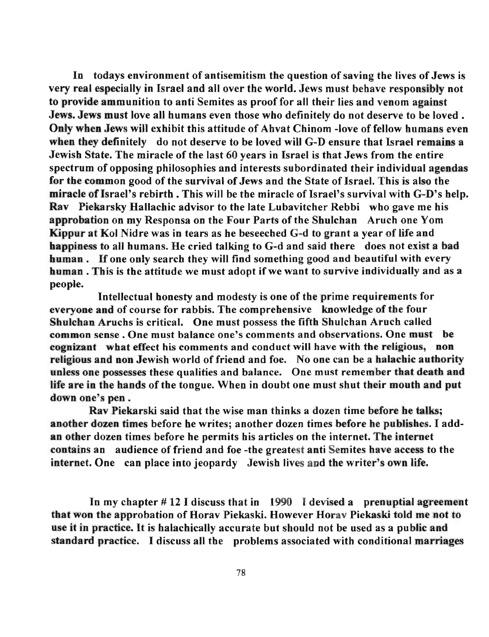In todays environment of antisemitism the question of saving the lives of Jews is very real especially in Israel and all over the world. Jews must behave responsibly not to provide ammunition to anti Semites as proof for all their lies and venom against Jews. Jews must love all humans even those who definitely do not deserve to be loved. Only when Jews will exhibit this attitude of Ahvat Chinom -love of fellow humans even when they definitely do not deserve to be loved will G-D ensure that Israel remains a Jewish State. The miracle of the last 60 years in Israel is that Jews from the entire spectrum of opposing philosophies and interests subordinated their individual agendas for the common good of the survival of Jews and the State of Israel. This is also the miracle of Israel's rebirth. This will be the miracle of Israel's survival with G-D's help. Rav Piekarsky Hallachic advisor to the late Lubavitcher Rebbi who gave me his approbation on my Responsa on the Four Parts of the Shulchan Arucb one Yom Kippur at Ko) Nidre was in tears as he beseeched G-d to grant a year of life and happiness to all humans. He cried talking to G-d and said there does not exist a bad human. If one only search they will find something good and beautiful with every human. This is the attitude we must adopt if we want to survive individually and as a people.

Intellectual honesty and modesty is one of the prime requirements for everyone and of course for rabbis. The comprehensive knowledge of tbe four Shulchan Aruchs is critical. One must possess the fifth Shulchan Aruch called common sense. One must balance one's comments and observations. One must be cognizant wbat effect his comments and conduct will have with the religious, non religious and non Jewish world of friend and foe. No one can be a halachic authority unless one possesses these qualities and balance. One must remember that death and life are in the hands of the tongue. When in doubt one must shut their mouth and put down one's pen.

Rav Piekarski said that the wise man thinks a dozen time before he talks; another dozen times before he writes; another dozen times before he publishes. I addan other dozen times before he permits his articles on the internet. The internet contains an audience of friend and foe -the greatest anti Semites have access to the internet. One can place into jeopardy Jewish lives and the writer's own life.

In my chapter # 12 I discuss that in 1990 I devised a prenuptial agreement that won the approbation of Horav Piekaski. However Horav Piekaski told me not to use it in practice. It is halachically accurate but should not be used as a public and standard practice. I discuss all the problems associated with conditional marriages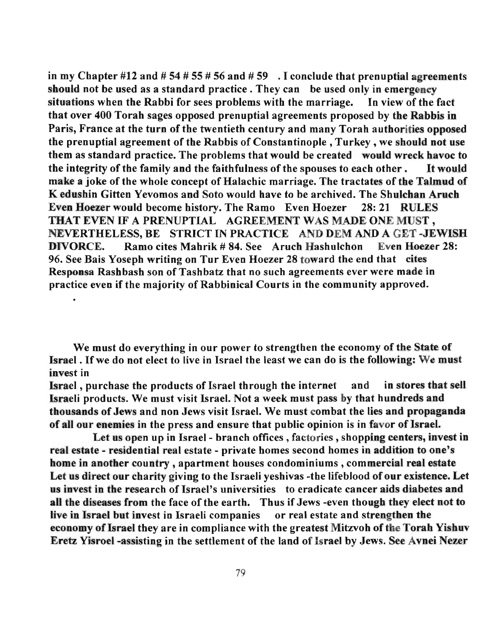in my Chapter #12 and # 54 # 55 # 56 and # 59  $\,$  . I conclude that prenuptial agreements should not be used as a standard practice. They can be used only in emergency situations when the Rabbi for sees problems with the marriage. In view of the fact that over 400 Torah sages opposed prenuptial agreements proposed by the Rabbis in Paris, France at the turn of the twentieth century and many Torah authorities opposed the prenuptial agreement of the Rabbis of Constantinople, Turkey, we should not use them as standard practice. The problems that would be created would wreck havoc to the integrity of the family and the faithfulness of the spouses to each other. It would make a joke of the whole concept of Halachic marriage. The tractates of the Talmud of K edushin Gitten Yevomosand Soto would have to be archived. The Shulchan Aruch Even Hoezer would become history. The Ramo Even Hoezer 28: 21 RULES THAT EVEN IF A PRENUPTIAL AGREEMENT WAS MADE ONE MUST, NEVERTHELESS, BE STRICT IN PRACTICE AND DEM AND A GET -JEWISH DIVORCE. Ramo cites Mahrik # 84. See Aruch Hashulchon Even Hoezer 28: 96. See Bais Yoseph writing on Tur Even Hoezer 28 toward the end that cites Responsa Rashbash son of Tashbatz that no such agreements ever were made in practice even if the majority of Rabbinical Courts in the community approved.

We must do everything in our power to strengthen the economy of the State of Israel. If we do not elect to live in Israel the least we can do is the following: We must invest in

Israel, purchase the products of Israel through the internet and 'in stores that sell Israeli products. We must visit Israel. Not a week must pass by that hundreds and thousands of Jews and non Jews visit Israel. We must combat the lies and propaganda of all our enemies in the press and ensure tbat public opinion is in favor of Israel.

Let us open up in Israel- branch offices, factories , shopping centers, invest in real estate - residential real estate - private homes second homes in addition to one's home in another country, apartment houses condominiums, commercial real estate Let us direct our charity giving to the Israeli yeshivas -the lifeblood of our existence. Let us invest in the research of Israel's universities to eradicate cancer aids diabetes and all the diseases from the face of the earth. Thus if Jews -even though they elect not to live in Israel but invest in Israeli companies or real estate and strengthen the economy of Israel they are in compliance with the greatest Mitzvoh of the Torah Yisbuv Eretz Yisroel -assisting in the settlement of the land of Israel by Jews. See Avnei Nezer